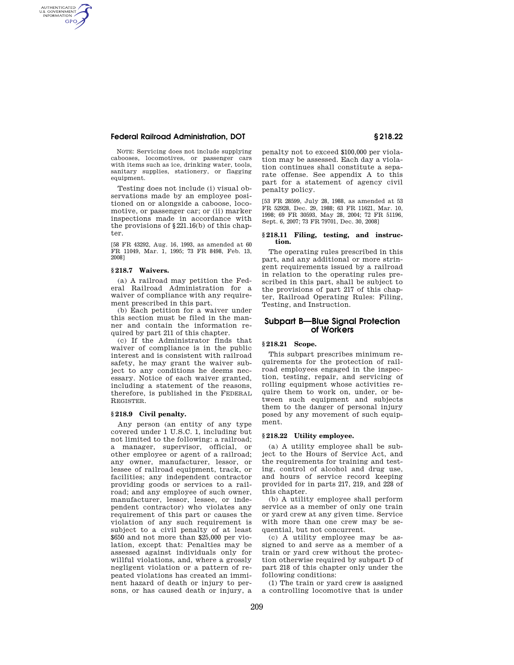# **Federal Railroad Administration, DOT § 218.22**

NOTE: Servicing does not include supplying cabooses, locomotives, or passenger cars with items such as ice, drinking water, tools, sanitary supplies, stationery, or flagging equipment.

Testing does not include (i) visual observations made by an employee positioned on or alongside a caboose, locomotive, or passenger car; or (ii) marker inspections made in accordance with the provisions of §221.16(b) of this chapter.

[58 FR 43292, Aug. 16, 1993, as amended at 60 FR 11049, Mar. 1, 1995; 73 FR 8498, Feb. 13, 2008]

## **§ 218.7 Waivers.**

AUTHENTICATED<br>U.S. GOVERNMENT<br>INFORMATION **GPO** 

> (a) A railroad may petition the Federal Railroad Administration for a waiver of compliance with any requirement prescribed in this part.

> (b) Each petition for a waiver under this section must be filed in the manner and contain the information required by part 211 of this chapter.

(c) If the Administrator finds that waiver of compliance is in the public interest and is consistent with railroad safety, he may grant the waiver subject to any conditions he deems necessary. Notice of each waiver granted, including a statement of the reasons, therefore, is published in the FEDERAL REGISTER.

## **§ 218.9 Civil penalty.**

Any person (an entity of any type covered under 1 U.S.C. 1, including but not limited to the following: a railroad; a manager, supervisor, official, or other employee or agent of a railroad; any owner, manufacturer, lessor, or lessee of railroad equipment, track, or facilities; any independent contractor providing goods or services to a railroad; and any employee of such owner, manufacturer, lessor, lessee, or independent contractor) who violates any requirement of this part or causes the violation of any such requirement is subject to a civil penalty of at least \$650 and not more than \$25,000 per violation, except that: Penalties may be assessed against individuals only for willful violations, and, where a grossly negligent violation or a pattern of repeated violations has created an imminent hazard of death or injury to persons, or has caused death or injury, a

penalty not to exceed \$100,000 per violation may be assessed. Each day a violation continues shall constitute a separate offense. See appendix A to this part for a statement of agency civil penalty policy.

[53 FR 28599, July 28, 1988, as amended at 53 FR 52928, Dec. 29, 1988; 63 FR 11621, Mar. 10, 1998; 69 FR 30593, May 28, 2004; 72 FR 51196, Sept. 6, 2007; 73 FR 79701, Dec. 30, 2008]

#### **§ 218.11 Filing, testing, and instruction.**

The operating rules prescribed in this part, and any additional or more stringent requirements issued by a railroad in relation to the operating rules prescribed in this part, shall be subject to the provisions of part 217 of this chapter, Railroad Operating Rules: Filing, Testing, and Instruction.

## **Subpart B—Blue Signal Protection of Workers**

# **§ 218.21 Scope.**

This subpart prescribes minimum requirements for the protection of railroad employees engaged in the inspection, testing, repair, and servicing of rolling equipment whose activities require them to work on, under, or between such equipment and subjects them to the danger of personal injury posed by any movement of such equipment.

### **§ 218.22 Utility employee.**

(a) A utility employee shall be subject to the Hours of Service Act, and the requirements for training and testing, control of alcohol and drug use, and hours of service record keeping provided for in parts 217, 219, and 228 of this chapter.

(b) A utility employee shall perform service as a member of only one train or yard crew at any given time. Service with more than one crew may be sequential, but not concurrent.

(c) A utility employee may be assigned to and serve as a member of a train or yard crew without the protection otherwise required by subpart D of part 218 of this chapter only under the following conditions:

(1) The train or yard crew is assigned a controlling locomotive that is under